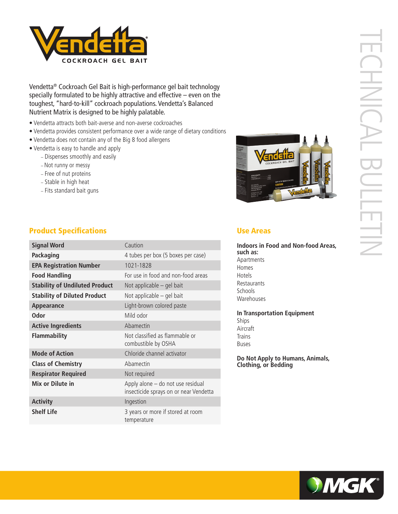

Vendetta® Cockroach Gel Bait is high-performance gel bait technology specially formulated to be highly attractive and effective – even on the toughest, "hard-to-kill" cockroach populations. Vendetta's Balanced Nutrient Matrix is designed to be highly palatable.

- Vendetta attracts both bait-averse and non-averse cockroaches
- Vendetta provides consistent performance over a wide range of dietary conditions
- Vendetta does not contain any of the Big 8 food allergens
- Vendetta is easy to handle and apply
	- Dispenses smoothly and easily
	- Not runny or messy
	- Free of nut proteins
	- Stable in high heat
	- Fits standard bait guns



# **Product Specifications Exercise Areas** Use Areas

| <b>Signal Word</b>                    | Caution                                                                     |
|---------------------------------------|-----------------------------------------------------------------------------|
| Packaging                             | 4 tubes per box (5 boxes per case)                                          |
| <b>EPA Registration Number</b>        | 1021-1828                                                                   |
| <b>Food Handling</b>                  | For use in food and non-food areas                                          |
| <b>Stability of Undiluted Product</b> | Not applicable – gel bait                                                   |
| <b>Stability of Diluted Product</b>   | Not applicable – gel bait                                                   |
| Appearance                            | Light-brown colored paste                                                   |
| <b>Odor</b>                           | Mild odor                                                                   |
| <b>Active Ingredients</b>             | Abamectin                                                                   |
| <b>Flammability</b>                   | Not classified as flammable or<br>combustible by OSHA                       |
| <b>Mode of Action</b>                 | Chloride channel activator                                                  |
| <b>Class of Chemistry</b>             | Abamectin                                                                   |
| <b>Respirator Required</b>            | Not required                                                                |
| Mix or Dilute in                      | Apply alone - do not use residual<br>insecticide sprays on or near Vendetta |
| <b>Activity</b>                       | Ingestion                                                                   |
| <b>Shelf Life</b>                     | 3 years or more if stored at room<br>temperature                            |

**Indoors in Food and Non-food Areas, such as:** Apartments Homes Hotels **Restaurants** Schools Warehouses

**In Transportation Equipment** Ships Aircraft **Trains** Buses

**Do Not Apply to Humans, Animals, Clothing, or Bedding**